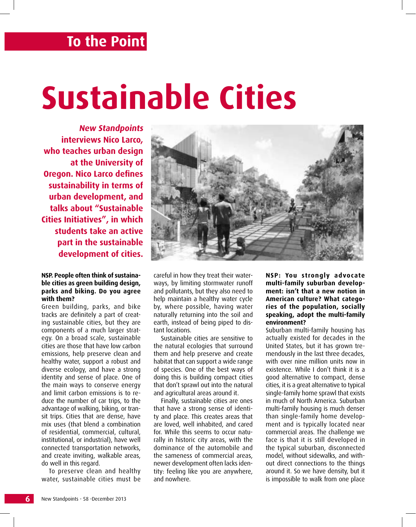## **To the Point**

# **Sustainable Cities**

**New Standpoints interviews Nico Larco, who teaches urban design at the University of Oregon. Nico Larco defines sustainability in terms of urban development, and talks about "Sustainable Cities Initiatives", in which students take an active part in the sustainable development of cities.**

## **NSP. People often think of sustainable cities as green building design, parks and biking. Do you agree with them?**

Green building, parks, and bike tracks are definitely a part of creating sustainable cities, but they are components of a much larger strategy. On a broad scale, sustainable cities are those that have low carbon emissions, help preserve clean and healthy water, support a robust and diverse ecology, and have a strong identity and sense of place. One of the main ways to conserve energy and limit carbon emissions is to reduce the number of car trips, to the advantage of walking, biking, or transit trips. Cities that are dense, have mix uses (that blend a combination of residential, commercial, cultural, institutional, or industrial), have well connected transportation networks, and create inviting, walkable areas, do well in this regard.

To preserve clean and healthy water, sustainable cities must be



careful in how they treat their waterways, by limiting stormwater runoff and pollutants, but they also need to help maintain a healthy water cycle by, where possible, having water naturally returning into the soil and earth, instead of being piped to distant locations.

Sustainable cities are sensitive to the natural ecologies that surround them and help preserve and create habitat that can support a wide range of species. One of the best ways of doing this is building compact cities that don't sprawl out into the natural and agricultural areas around it.

Finally, sustainable cities are ones that have a strong sense of identity and place. This creates areas that are loved, well inhabited, and cared for. While this seems to occur naturally in historic city areas, with the dominance of the automobile and the sameness of commercial areas, newer development often lacks identity: feeling like you are anywhere, and nowhere.

**NSP: You strongly advocate multi-family suburban development: isn't that a new notion in American culture? What categories of the population, socially speaking, adopt the multi-family environment?** 

Suburban multi-family housing has actually existed for decades in the United States, but it has grown tremendously in the last three decades, with over nine million units now in existence. While I don't think it is a good alternative to compact, dense cities, it is a great alternative to typical single-family home sprawl that exists in much of North America. Suburban multi-family housing is much denser than single-family home development and is typically located near commercial areas. The challenge we face is that it is still developed in the typical suburban, disconnected model, without sidewalks, and without direct connections to the things around it. So we have density, but it is impossible to walk from one place